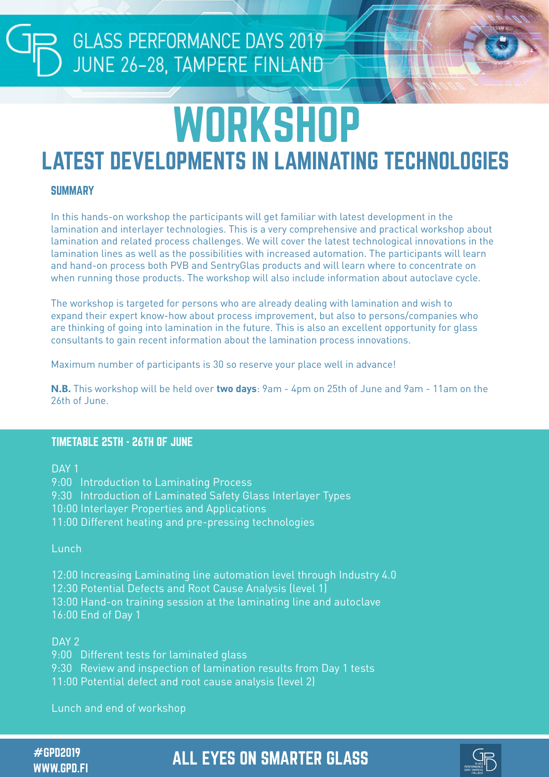# GLASS PERFORMANCE DAYS 2019<br>JUNE 26-28, TAMPERE FINLAND

# **WORKSHOP** LATEST DEVELOPMENTS IN LAMINATING TECHNOLOGIES

## **SUMMARY**

In this hands-on workshop the participants will get familiar with latest development in the lamination and interlayer technologies. This is a very comprehensive and practical workshop about lamination and related process challenges. We will cover the latest technological innovations in the lamination lines as well as the possibilities with increased automation. The participants will learn and hand-on process both PVB and SentryGlas products and will learn where to concentrate on when running those products. The workshop will also include information about autoclave cycle.

The workshop is targeted for persons who are already dealing with lamination and wish to expand their expert know-how about process improvement, but also to persons/companies who are thinking of going into lamination in the future. This is also an excellent opportunity for glass consultants to gain recent information about the lamination process innovations.

Maximum number of participants is 30 so reserve your place well in advance!

**N.B.** This workshop will be held over **two days**: 9am - 4pm on 25th of June and 9am - 11am on the 26th of June.

### TIMETABLE 25TH - 26TH OF JUNE

DAY<sub>1</sub> 9:00 Introduction to Laminating Process 9:30 Introduction of Laminated Safety Glass Interlayer Types 10:00 Interlayer Properties and Applications 11:00 Different heating and pre-pressing technologies

Lunch

12:00 Increasing Laminating line automation level through Industry 4.0 12:30 Potential Defects and Root Cause Analysis (level 1) 13:00 Hand-on training session at the laminating line and autoclave 16:00 End of Day 1

DAY 2

9:00 Different tests for laminated glass 9:30 Review and inspection of lamination results from Day 1 tests 11:00 Potential defect and root cause analysis (level 2)

Lunch and end of workshop

#GPD2019 ALL EYES ON SMARTER GLASS WWW.GPD.FI